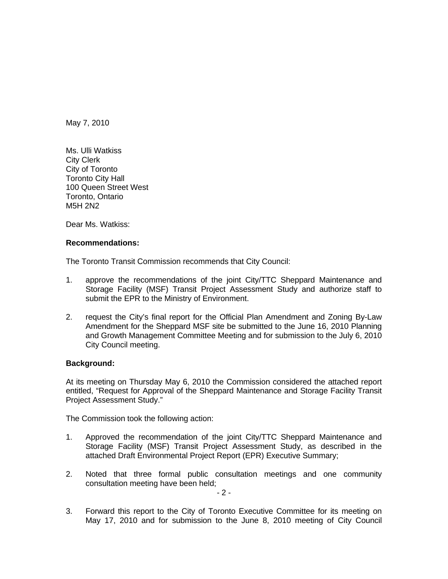May 7, 2010

Ms. Ulli Watkiss City Clerk City of Toronto Toronto City Hall 100 Queen Street West Toronto, Ontario M5H 2N2

Dear Ms. Watkiss:

## **Recommendations:**

The Toronto Transit Commission recommends that City Council:

- 1. approve the recommendations of the joint City/TTC Sheppard Maintenance and Storage Facility (MSF) Transit Project Assessment Study and authorize staff to submit the EPR to the Ministry of Environment.
- 2. request the City's final report for the Official Plan Amendment and Zoning By-Law Amendment for the Sheppard MSF site be submitted to the June 16, 2010 Planning and Growth Management Committee Meeting and for submission to the July 6, 2010 City Council meeting.

## **Background:**

At its meeting on Thursday May 6, 2010 the Commission considered the attached report entitled, "Request for Approval of the Sheppard Maintenance and Storage Facility Transit Project Assessment Study."

The Commission took the following action:

- 1. Approved the recommendation of the joint City/TTC Sheppard Maintenance and Storage Facility (MSF) Transit Project Assessment Study, as described in the attached Draft Environmental Project Report (EPR) Executive Summary;
- 2. Noted that three formal public consultation meetings and one community consultation meeting have been held;<br>- 2 -

3. Forward this report to the City of Toronto Executive Committee for its meeting on May 17, 2010 and for submission to the June 8, 2010 meeting of City Council